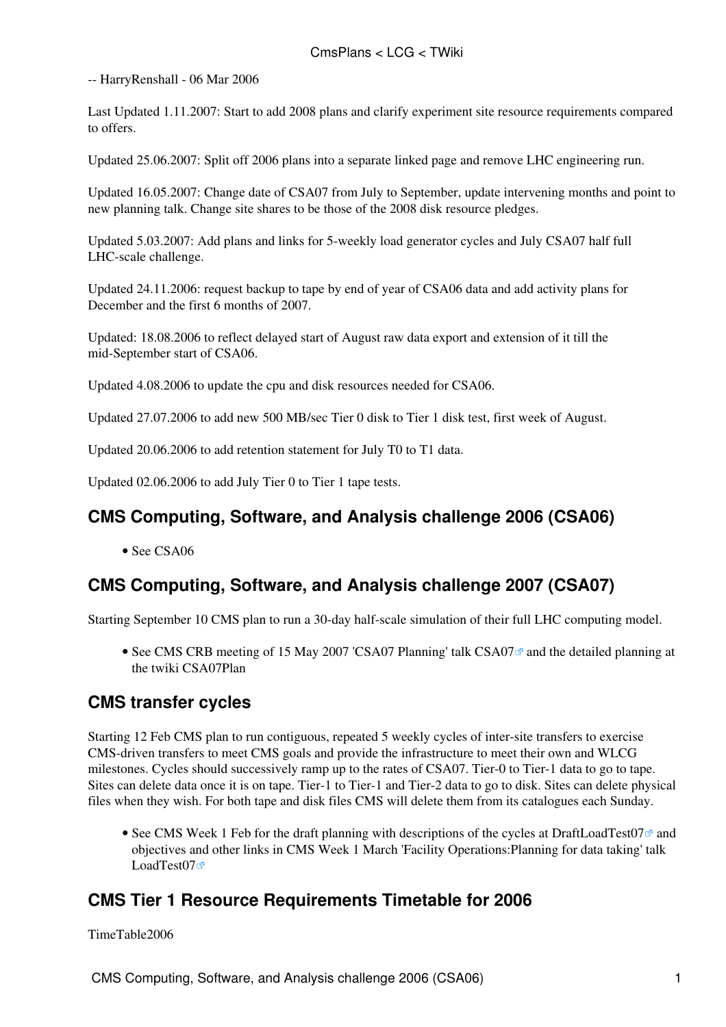-- [HarryRenshall](https://twiki.cern.ch/twiki/bin/view/Main/HarryRenshall) - 06 Mar 2006

Last Updated 1.11.2007: Start to add 2008 plans and clarify experiment site resource requirements compared to offers.

Updated 25.06.2007: Split off 2006 plans into a separate linked page and remove LHC engineering run.

Updated 16.05.2007: Change date of CSA07 from July to September, update intervening months and point to new planning talk. Change site shares to be those of the 2008 disk resource pledges.

Updated 5.03.2007: Add plans and links for 5-weekly load generator cycles and July CSA07 half full LHC-scale challenge.

Updated 24.11.2006: request backup to tape by end of year of CSA06 data and add activity plans for December and the first 6 months of 2007.

Updated: 18.08.2006 to reflect delayed start of August raw data export and extension of it till the mid-September start of CSA06.

Updated 4.08.2006 to update the cpu and disk resources needed for CSA06.

Updated 27.07.2006 to add new 500 MB/sec Tier 0 disk to Tier 1 disk test, first week of August.

Updated 20.06.2006 to add retention statement for July T0 to T1 data.

Updated 02.06.2006 to add July Tier 0 to Tier 1 tape tests.

### **CMS Computing, Software, and Analysis challenge 2006 (CSA06)**

• See [CSA06](https://twiki.cern.ch/twiki/bin/view/CMS/CSA06)

## **CMS Computing, Software, and Analysis challenge 2007 (CSA07)**

Starting September 10 CMS plan to run a 30-day half-scale simulation of their full LHC computing model.

• See CMS CRB meeting of 15 May 2007 'CSA07 Planning' talk CSA07<sup>®</sup> and the detailed planning at the twiki [CSA07Plan](https://twiki.cern.ch/twiki/bin/view/CMS/CSA07Plan)

#### **CMS transfer cycles**

Starting 12 Feb CMS plan to run contiguous, repeated 5 weekly cycles of inter-site transfers to exercise CMS-driven transfers to meet CMS goals and provide the infrastructure to meet their own and WLCG milestones. Cycles should successively ramp up to the rates of CSA07. Tier-0 to Tier-1 data to go to tape. Sites can delete data once it is on tape. Tier-1 to Tier-1 and Tier-2 data to go to disk. Sites can delete physical files when they wish. For both tape and disk files CMS will delete them from its catalogues each Sunday.

• See CMS Week 1 Feb for the draft planning with descriptions of the cycles at [DraftLoadTest07](http://indico.cern.ch/materialDisplay.py?contribId=1&sessionId=0&materialId=slides&confId=11667)<sup>®</sup> and objectives and other links in CMS Week 1 March 'Facility Operations:Planning for data taking' talk [LoadTest07](http://indico.cern.ch/materialDisplay.py?contribId=12&materialId=slides&confId=13052)<sup>a</sup>

#### **CMS Tier 1 Resource Requirements Timetable for 2006**

[TimeTable2006](https://twiki.cern.ch/twiki/bin/view/LCG/TimeTable2006)

CMS Computing, Software, and Analysis challenge 2006 (CSA06) 1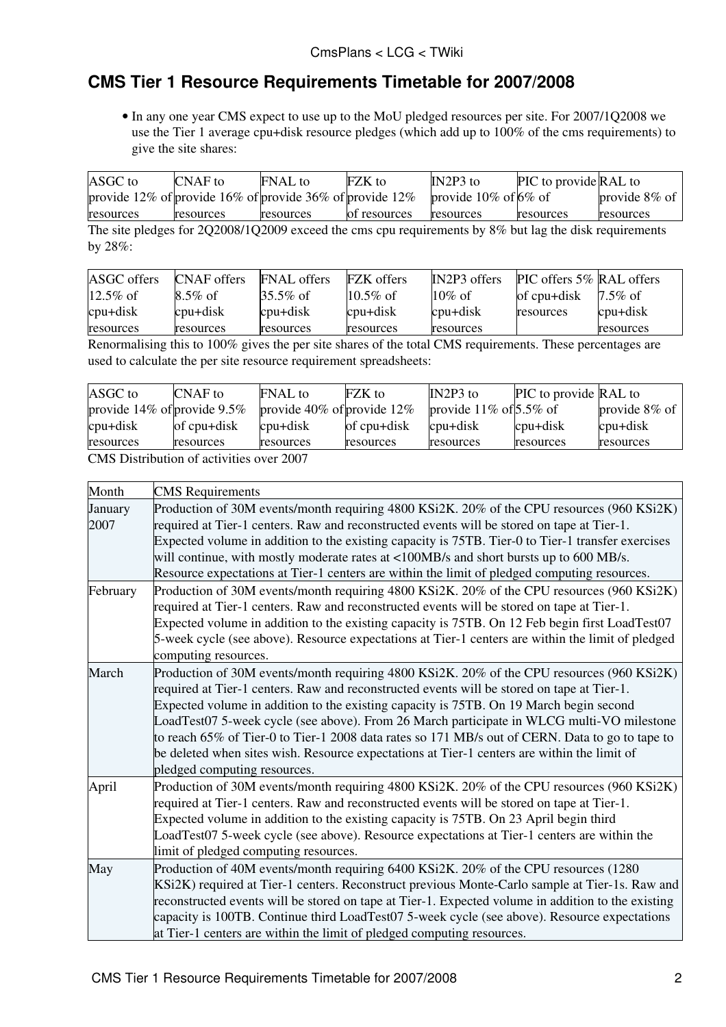# **CMS Tier 1 Resource Requirements Timetable for 2007/2008**

• In any one year CMS expect to use up to the [MoU](https://twiki.cern.ch/twiki/bin/view/LCG/MoU) pledged resources per site. For 2007/1Q2008 we use the Tier 1 average cpu+disk resource pledges (which add up to 100% of the cms requirements) to give the site shares:

| ASGC to<br>CNAF to                                          | <b>FNAL</b> to | <b>FZK</b> to | IN2P3 to             | PIC to provide RAL to |                  |
|-------------------------------------------------------------|----------------|---------------|----------------------|-----------------------|------------------|
| provide 12% of provide 16% of provide 36% of provide $12\%$ |                |               | provide 10% of 6% of |                       | provide $8\%$ of |
| resources<br>resources                                      | resources      | of resources  | resources            | resources             | resources        |

The site pledges for 2Q2008/1Q2009 exceed the cms cpu requirements by 8% but lag the disk requirements by 28%:

| ASGC offers | CNAF offers | <b>FNAL</b> offers | <b>FZK</b> offers | IN2P3 offers | <b>PIC</b> offers 5% <b>RAL</b> offers |            |
|-------------|-------------|--------------------|-------------------|--------------|----------------------------------------|------------|
| $12.5\%$ of | $8.5\%$ of  | 35.5% of           | $10.5\%$ of       | $10\%$ of    | of cpu+disk                            | 17.5% of   |
| $cpu+disk$  | cpu+disk    | cpu+disk           | $cpu+disk$        | cpu+disk     | resources                              | $cpu+disk$ |
| resources   | resources   | resources          | resources         | resources    |                                        | resources  |

Renormalising this to 100% gives the per site shares of the total CMS requirements. These percentages are used to calculate the per site resource requirement spreadsheets:

| provide $14\%$ of provide $9.5\%$<br>provide $40\%$ of provide $12\%$<br>provide $11\%$ of $5.5\%$ of | PIC to provide RAL to |
|-------------------------------------------------------------------------------------------------------|-----------------------|
|                                                                                                       | provide $8\%$ of      |
| of cpu+disk<br>cpu+disk<br>of cpu+disk<br>cpu+disk<br>cpu+disk<br>cpu+disk                            | cpu+disk              |
| resources<br>resources<br>resources<br>resources<br>resources<br>resources<br>resources               |                       |

CMS Distribution of activities over 2007

| Month           | <b>CMS</b> Requirements                                                                                                                                                                                                                                                                                                                                                                                                                                                                                                                                                                                          |
|-----------------|------------------------------------------------------------------------------------------------------------------------------------------------------------------------------------------------------------------------------------------------------------------------------------------------------------------------------------------------------------------------------------------------------------------------------------------------------------------------------------------------------------------------------------------------------------------------------------------------------------------|
| January<br>2007 | Production of 30M events/month requiring 4800 KSi2K. 20% of the CPU resources (960 KSi2K)<br>required at Tier-1 centers. Raw and reconstructed events will be stored on tape at Tier-1.<br>Expected volume in addition to the existing capacity is 75TB. Tier-0 to Tier-1 transfer exercises                                                                                                                                                                                                                                                                                                                     |
|                 | will continue, with mostly moderate rates at <100MB/s and short bursts up to 600 MB/s.<br>Resource expectations at Tier-1 centers are within the limit of pledged computing resources.                                                                                                                                                                                                                                                                                                                                                                                                                           |
| February        | Production of 30M events/month requiring 4800 KSi2K. 20% of the CPU resources (960 KSi2K)<br>required at Tier-1 centers. Raw and reconstructed events will be stored on tape at Tier-1.<br>Expected volume in addition to the existing capacity is 75TB. On 12 Feb begin first LoadTest07<br>5-week cycle (see above). Resource expectations at Tier-1 centers are within the limit of pledged<br>computing resources.                                                                                                                                                                                           |
| March           | Production of 30M events/month requiring 4800 KSi2K. 20% of the CPU resources (960 KSi2K)<br>required at Tier-1 centers. Raw and reconstructed events will be stored on tape at Tier-1.<br>Expected volume in addition to the existing capacity is 75TB. On 19 March begin second<br>LoadTest07 5-week cycle (see above). From 26 March participate in WLCG multi-VO milestone<br>to reach 65% of Tier-0 to Tier-1 2008 data rates so 171 MB/s out of CERN. Data to go to tape to<br>be deleted when sites wish. Resource expectations at Tier-1 centers are within the limit of<br>pledged computing resources. |
| April           | Production of 30M events/month requiring 4800 KSi2K. 20% of the CPU resources (960 KSi2K)<br>required at Tier-1 centers. Raw and reconstructed events will be stored on tape at Tier-1.<br>Expected volume in addition to the existing capacity is 75TB. On 23 April begin third<br>LoadTest07 5-week cycle (see above). Resource expectations at Tier-1 centers are within the<br>limit of pledged computing resources.                                                                                                                                                                                         |
| May             | Production of 40M events/month requiring 6400 KSi2K. 20% of the CPU resources (1280)<br>KSi2K) required at Tier-1 centers. Reconstruct previous Monte-Carlo sample at Tier-1s. Raw and<br>reconstructed events will be stored on tape at Tier-1. Expected volume in addition to the existing<br>capacity is 100TB. Continue third LoadTest07 5-week cycle (see above). Resource expectations<br>at Tier-1 centers are within the limit of pledged computing resources.                                                                                                                                           |